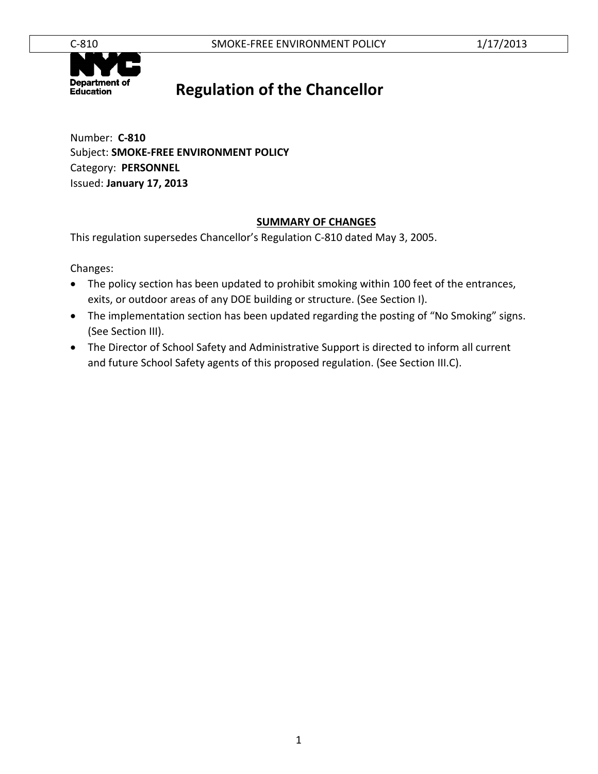

### **Regulation of the Chancellor**

Number: **C-810** Subject: **SMOKE-FREE ENVIRONMENT POLICY** Category: **PERSONNEL** Issued: **January 17, 2013**

#### **SUMMARY OF CHANGES**

This regulation supersedes Chancellor's Regulation C-810 dated May 3, 2005.

Changes:

- The policy section has been updated to prohibit smoking within 100 feet of the entrances, exits, or outdoor areas of any DOE building or structure. (See Section I).
- The implementation section has been updated regarding the posting of "No Smoking" signs. (See Section III).
- The Director of School Safety and Administrative Support is directed to inform all current and future School Safety agents of this proposed regulation. (See Section III.C).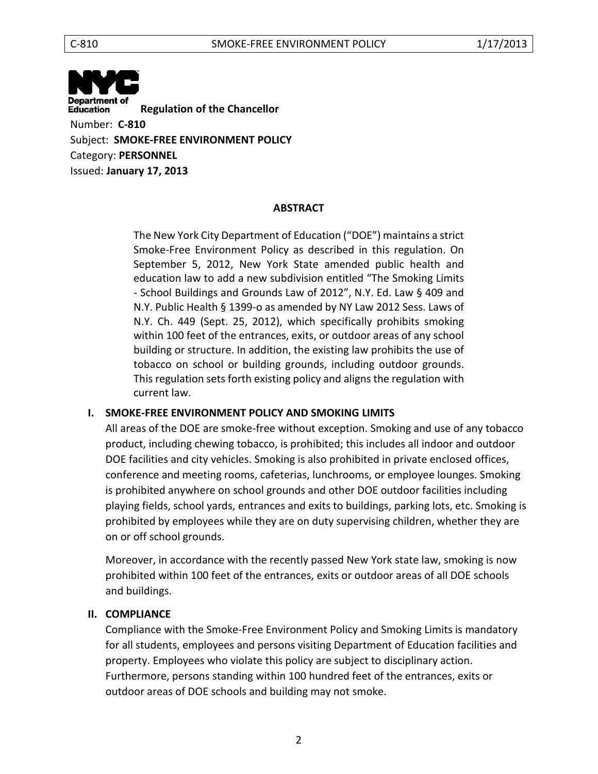**Department of Education Regulation of the Chancellor** Number: **C-810** Subject: **SMOKE-FREE ENVIRONMENT POLICY** Category: **PERSONNEL** Issued: **January 17, 2013**

#### **ABSTRACT**

The New York City Department of Education ("DOE") maintains a strict Smoke-Free Environment Policy as described in this regulation. On September 5, 2012, New York State amended public health and education law to add a new subdivision entitled "The Smoking Limits - School Buildings and Grounds Law of 2012", N.Y. Ed. Law § 409 and N.Y. Public Health § 1399-o as amended by NY Law 2012 Sess. Laws of N.Y. Ch. 449 (Sept. 25, 2012), which specifically prohibits smoking within 100 feet of the entrances, exits, or outdoor areas of any school building or structure. In addition, the existing law prohibits the use of tobacco on school or building grounds, including outdoor grounds. This regulation sets forth existing policy and aligns the regulation with current law.

#### **I. SMOKE-FREE ENVIRONMENT POLICY AND SMOKING LIMITS**

All areas of the DOE are smoke-free without exception. Smoking and use of any tobacco product, including chewing tobacco, is prohibited; this includes all indoor and outdoor DOE facilities and city vehicles. Smoking is also prohibited in private enclosed offices, conference and meeting rooms, cafeterias, lunchrooms, or employee lounges. Smoking is prohibited anywhere on school grounds and other DOE outdoor facilities including playing fields, school yards, entrances and exits to buildings, parking lots, etc. Smoking is prohibited by employees while they are on duty supervising children, whether they are on or off school grounds.

Moreover, in accordance with the recently passed New York state law, smoking is now prohibited within 100 feet of the entrances, exits or outdoor areas of all DOE schools and buildings.

#### **II. COMPLIANCE**

Compliance with the Smoke-Free Environment Policy and Smoking Limits is mandatory for all students, employees and persons visiting Department of Education facilities and property. Employees who violate this policy are subject to disciplinary action. Furthermore, persons standing within 100 hundred feet of the entrances, exits or outdoor areas of DOE schools and building may not smoke.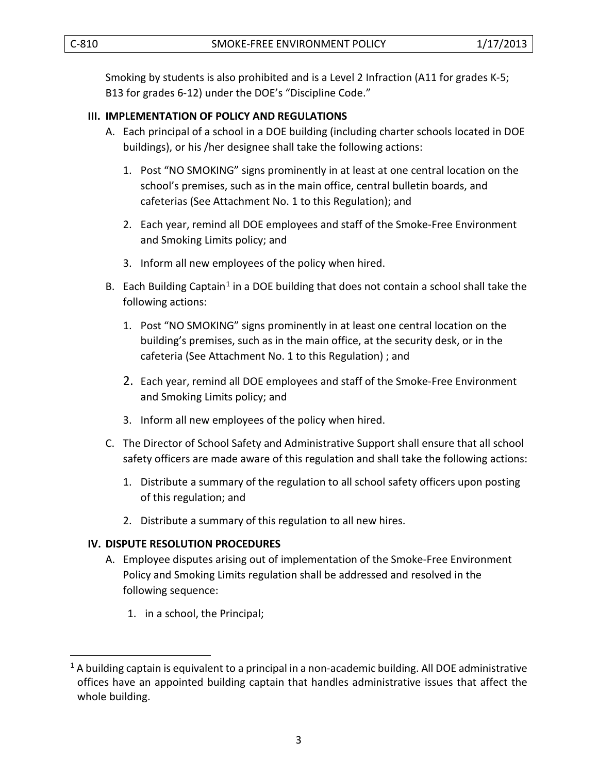Smoking by students is also prohibited and is a Level 2 Infraction (A11 for grades K-5; B13 for grades 6-12) under the DOE's "Discipline Code."

#### **III. IMPLEMENTATION OF POLICY AND REGULATIONS**

- A. Each principal of a school in a DOE building (including charter schools located in DOE buildings), or his /her designee shall take the following actions:
	- 1. Post "NO SMOKING" signs prominently in at least at one central location on the school's premises, such as in the main office, central bulletin boards, and cafeterias (See Attachment No. 1 to this Regulation); and
	- 2. Each year, remind all DOE employees and staff of the Smoke-Free Environment and Smoking Limits policy; and
	- 3. Inform all new employees of the policy when hired.
- B. Each Building Captain<sup>[1](#page-2-0)</sup> in a DOE building that does not contain a school shall take the following actions:
	- 1. Post "NO SMOKING" signs prominently in at least one central location on the building's premises, such as in the main office, at the security desk, or in the cafeteria (See Attachment No. 1 to this Regulation) ; and
	- 2. Each year, remind all DOE employees and staff of the Smoke-Free Environment and Smoking Limits policy; and
	- 3. Inform all new employees of the policy when hired.
- C. The Director of School Safety and Administrative Support shall ensure that all school safety officers are made aware of this regulation and shall take the following actions:
	- 1. Distribute a summary of the regulation to all school safety officers upon posting of this regulation; and
	- 2. Distribute a summary of this regulation to all new hires.

#### **IV. DISPUTE RESOLUTION PROCEDURES**

- A. Employee disputes arising out of implementation of the Smoke-Free Environment Policy and Smoking Limits regulation shall be addressed and resolved in the following sequence:
	- 1. in a school, the Principal;

 $\overline{\phantom{a}}$ 

<span id="page-2-0"></span> $1$  A building captain is equivalent to a principal in a non-academic building. All DOE administrative offices have an appointed building captain that handles administrative issues that affect the whole building.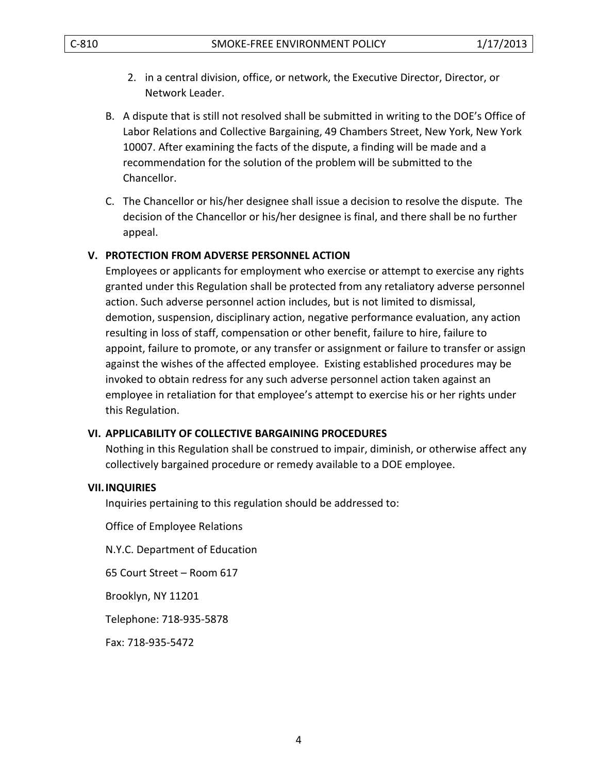- 2. in a central division, office, or network, the Executive Director, Director, or Network Leader.
- B. A dispute that is still not resolved shall be submitted in writing to the DOE's Office of Labor Relations and Collective Bargaining, 49 Chambers Street, New York, New York 10007. After examining the facts of the dispute, a finding will be made and a recommendation for the solution of the problem will be submitted to the Chancellor.
- C. The Chancellor or his/her designee shall issue a decision to resolve the dispute. The decision of the Chancellor or his/her designee is final, and there shall be no further appeal.

#### **V. PROTECTION FROM ADVERSE PERSONNEL ACTION**

Employees or applicants for employment who exercise or attempt to exercise any rights granted under this Regulation shall be protected from any retaliatory adverse personnel action. Such adverse personnel action includes, but is not limited to dismissal, demotion, suspension, disciplinary action, negative performance evaluation, any action resulting in loss of staff, compensation or other benefit, failure to hire, failure to appoint, failure to promote, or any transfer or assignment or failure to transfer or assign against the wishes of the affected employee. Existing established procedures may be invoked to obtain redress for any such adverse personnel action taken against an employee in retaliation for that employee's attempt to exercise his or her rights under this Regulation.

#### **VI. APPLICABILITY OF COLLECTIVE BARGAINING PROCEDURES**

Nothing in this Regulation shall be construed to impair, diminish, or otherwise affect any collectively bargained procedure or remedy available to a DOE employee.

#### **VII.INQUIRIES**

Inquiries pertaining to this regulation should be addressed to:

Office of Employee Relations

N.Y.C. Department of Education

65 Court Street – Room 617

Brooklyn, NY 11201

Telephone: 718-935-5878

Fax: 718-935-5472